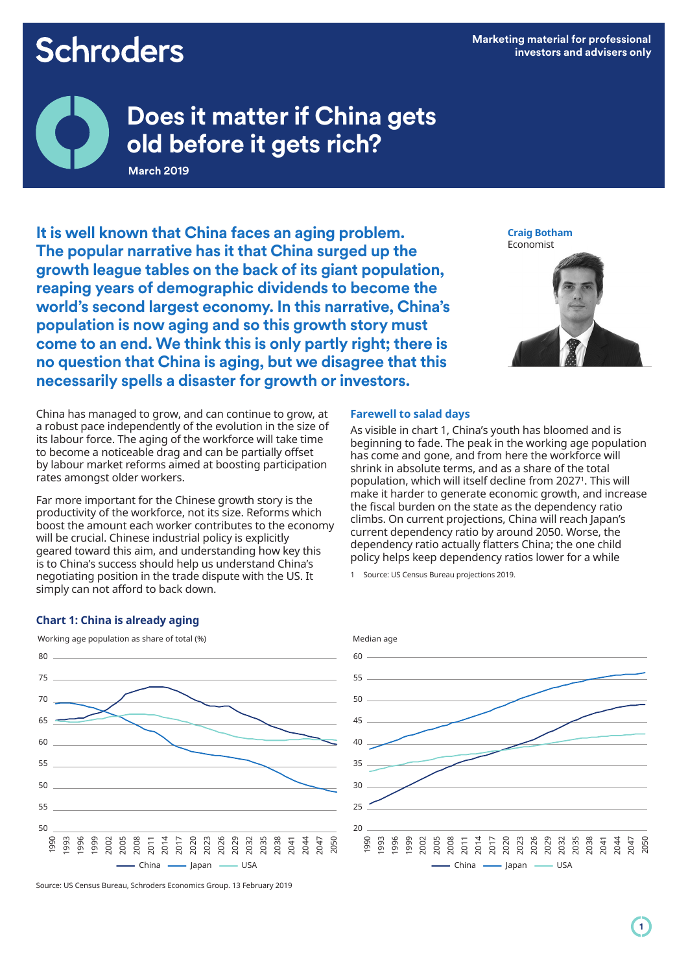# **Schroders**

**Marketing material for professional investors and advisers only**



# **Does it matter if China gets old before it gets rich?**

**March 2019**

**It is well known that China faces an aging problem. The popular narrative has it that China surged up the growth league tables on the back of its giant population, reaping years of demographic dividends to become the world's second largest economy. In this narrative, China's population is now aging and so this growth story must come to an end. We think this is only partly right; there is no question that China is aging, but we disagree that this necessarily spells a disaster for growth or investors.**

China has managed to grow, and can continue to grow, at a robust pace independently of the evolution in the size of its labour force. The aging of the workforce will take time to become a noticeable drag and can be partially offset by labour market reforms aimed at boosting participation rates amongst older workers.

Far more important for the Chinese growth story is the productivity of the workforce, not its size. Reforms which boost the amount each worker contributes to the economy will be crucial. Chinese industrial policy is explicitly geared toward this aim, and understanding how key this is to China's success should help us understand China's negotiating position in the trade dispute with the US. It simply can not afford to back down.



### **Farewell to salad days**

As visible in chart 1, China's youth has bloomed and is beginning to fade. The peak in the working age population has come and gone, and from here the workforce will shrink in absolute terms, and as a share of the total population, which will itself decline from 2027<sup>1</sup>. This will make it harder to generate economic growth, and increase the fiscal burden on the state as the dependency ratio climbs. On current projections, China will reach Japan's current dependency ratio by around 2050. Worse, the dependency ratio actually flatters China; the one child policy helps keep dependency ratios lower for a while

1 Source: US Census Bureau projections 2019.

#### **Chart 1: China is already aging**





Source: US Census Bureau, Schroders Economics Group. 13 February 2019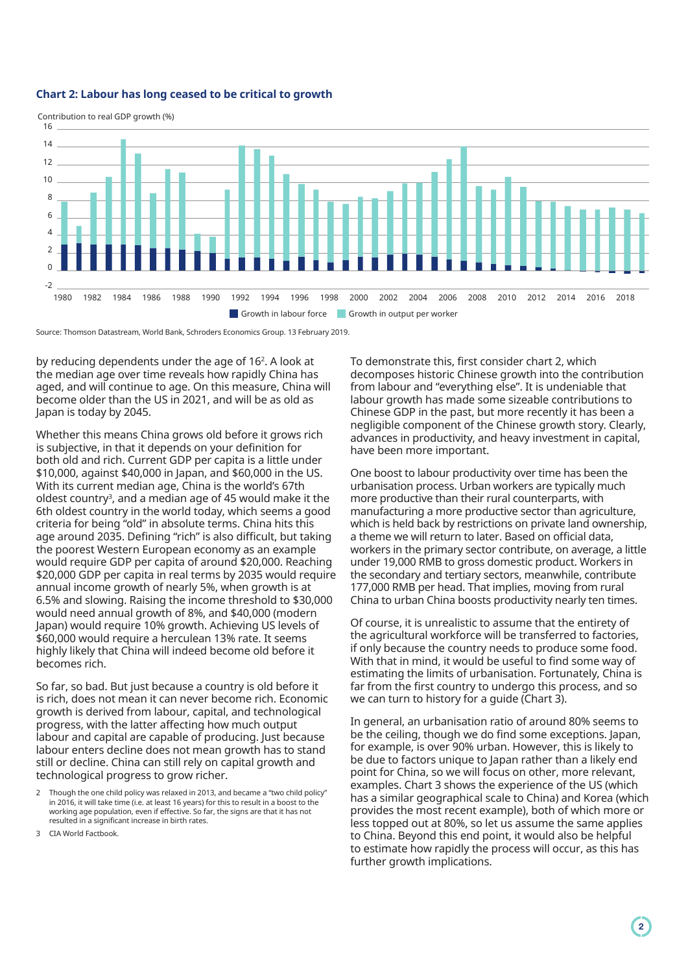#### **Chart 2: Labour has long ceased to be critical to growth**



Source: Thomson Datastream, World Bank, Schroders Economics Group. 13 February 2019.

by reducing dependents under the age of 16<sup>2</sup>. A look at the median age over time reveals how rapidly China has aged, and will continue to age. On this measure, China will become older than the US in 2021, and will be as old as Japan is today by 2045.

Whether this means China grows old before it grows rich is subjective, in that it depends on your definition for both old and rich. Current GDP per capita is a little under \$10,000, against \$40,000 in Japan, and \$60,000 in the US. With its current median age, China is the world's 67th oldest country<sup>3</sup>, and a median age of 45 would make it the 6th oldest country in the world today, which seems a good criteria for being "old" in absolute terms. China hits this age around 2035. Defining "rich" is also difficult, but taking the poorest Western European economy as an example would require GDP per capita of around \$20,000. Reaching \$20,000 GDP per capita in real terms by 2035 would require annual income growth of nearly 5%, when growth is at 6.5% and slowing. Raising the income threshold to \$30,000 would need annual growth of 8%, and \$40,000 (modern Japan) would require 10% growth. Achieving US levels of \$60,000 would require a herculean 13% rate. It seems highly likely that China will indeed become old before it becomes rich.

So far, so bad. But just because a country is old before it is rich, does not mean it can never become rich. Economic growth is derived from labour, capital, and technological progress, with the latter affecting how much output labour and capital are capable of producing. Just because labour enters decline does not mean growth has to stand still or decline. China can still rely on capital growth and technological progress to grow richer.

3 CIA World Factbook.

To demonstrate this, first consider chart 2, which decomposes historic Chinese growth into the contribution from labour and "everything else". It is undeniable that labour growth has made some sizeable contributions to Chinese GDP in the past, but more recently it has been a negligible component of the Chinese growth story. Clearly, advances in productivity, and heavy investment in capital, have been more important.

One boost to labour productivity over time has been the urbanisation process. Urban workers are typically much more productive than their rural counterparts, with manufacturing a more productive sector than agriculture, which is held back by restrictions on private land ownership, a theme we will return to later. Based on official data, workers in the primary sector contribute, on average, a little under 19,000 RMB to gross domestic product. Workers in the secondary and tertiary sectors, meanwhile, contribute 177,000 RMB per head. That implies, moving from rural China to urban China boosts productivity nearly ten times.

Of course, it is unrealistic to assume that the entirety of the agricultural workforce will be transferred to factories, if only because the country needs to produce some food. With that in mind, it would be useful to find some way of estimating the limits of urbanisation. Fortunately, China is far from the first country to undergo this process, and so we can turn to history for a guide (Chart 3).

In general, an urbanisation ratio of around 80% seems to be the ceiling, though we do find some exceptions. Japan, for example, is over 90% urban. However, this is likely to be due to factors unique to Japan rather than a likely end point for China, so we will focus on other, more relevant, examples. Chart 3 shows the experience of the US (which has a similar geographical scale to China) and Korea (which provides the most recent example), both of which more or less topped out at 80%, so let us assume the same applies to China. Beyond this end point, it would also be helpful to estimate how rapidly the process will occur, as this has further growth implications.

<sup>2</sup> Though the one child policy was relaxed in 2013, and became a "two child policy" in 2016, it will take time (i.e. at least 16 years) for this to result in a boost to the working age population, even if effective. So far, the signs are that it has not resulted in a significant increase in birth rates.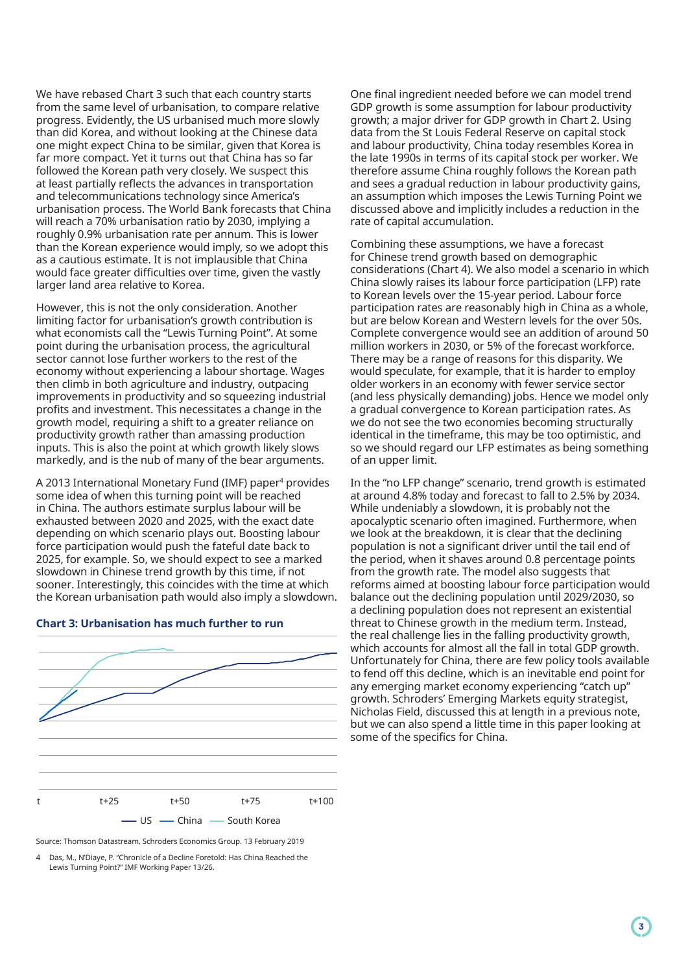We have rebased Chart 3 such that each country starts from the same level of urbanisation, to compare relative progress. Evidently, the US urbanised much more slowly than did Korea, and without looking at the Chinese data one might expect China to be similar, given that Korea is far more compact. Yet it turns out that China has so far followed the Korean path very closely. We suspect this at least partially reflects the advances in transportation and telecommunications technology since America's urbanisation process. The World Bank forecasts that China will reach a 70% urbanisation ratio by 2030, implying a roughly 0.9% urbanisation rate per annum. This is lower than the Korean experience would imply, so we adopt this as a cautious estimate. It is not implausible that China would face greater difficulties over time, given the vastly larger land area relative to Korea.

However, this is not the only consideration. Another limiting factor for urbanisation's growth contribution is what economists call the "Lewis Turning Point". At some point during the urbanisation process, the agricultural sector cannot lose further workers to the rest of the economy without experiencing a labour shortage. Wages then climb in both agriculture and industry, outpacing improvements in productivity and so squeezing industrial profits and investment. This necessitates a change in the growth model, requiring a shift to a greater reliance on productivity growth rather than amassing production inputs. This is also the point at which growth likely slows markedly, and is the nub of many of the bear arguments.

A 2013 International Monetary Fund (IMF) paper<sup>4</sup> provides some idea of when this turning point will be reached in China. The authors estimate surplus labour will be exhausted between 2020 and 2025, with the exact date depending on which scenario plays out. Boosting labour force participation would push the fateful date back to 2025, for example. So, we should expect to see a marked slowdown in Chinese trend growth by this time, if not sooner. Interestingly, this coincides with the time at which the Korean urbanisation path would also imply a slowdown.





Source: Thomson Datastream, Schroders Economics Group. 13 February 2019

4 Das, M., N'Diaye, P. "Chronicle of a Decline Foretold: Has China Reached the Lewis Turning Point?" IMF Working Paper 13/26.

One final ingredient needed before we can model trend GDP growth is some assumption for labour productivity growth; a major driver for GDP growth in Chart 2. Using data from the St Louis Federal Reserve on capital stock and labour productivity, China today resembles Korea in the late 1990s in terms of its capital stock per worker. We therefore assume China roughly follows the Korean path and sees a gradual reduction in labour productivity gains, an assumption which imposes the Lewis Turning Point we discussed above and implicitly includes a reduction in the rate of capital accumulation.

Combining these assumptions, we have a forecast for Chinese trend growth based on demographic considerations (Chart 4). We also model a scenario in which China slowly raises its labour force participation (LFP) rate to Korean levels over the 15-year period. Labour force participation rates are reasonably high in China as a whole, but are below Korean and Western levels for the over 50s. Complete convergence would see an addition of around 50 million workers in 2030, or 5% of the forecast workforce. There may be a range of reasons for this disparity. We would speculate, for example, that it is harder to employ older workers in an economy with fewer service sector (and less physically demanding) jobs. Hence we model only a gradual convergence to Korean participation rates. As we do not see the two economies becoming structurally identical in the timeframe, this may be too optimistic, and so we should regard our LFP estimates as being something of an upper limit.

In the "no LFP change" scenario, trend growth is estimated at around 4.8% today and forecast to fall to 2.5% by 2034. While undeniably a slowdown, it is probably not the apocalyptic scenario often imagined. Furthermore, when we look at the breakdown, it is clear that the declining population is not a significant driver until the tail end of the period, when it shaves around 0.8 percentage points from the growth rate. The model also suggests that reforms aimed at boosting labour force participation would balance out the declining population until 2029/2030, so a declining population does not represent an existential threat to Chinese growth in the medium term. Instead, the real challenge lies in the falling productivity growth, which accounts for almost all the fall in total GDP growth. Unfortunately for China, there are few policy tools available to fend off this decline, which is an inevitable end point for any emerging market economy experiencing "catch up" growth. Schroders' Emerging Markets equity strategist, Nicholas Field, discussed this at length in a previous note, but we can also spend a little time in this paper looking at some of the specifics for China.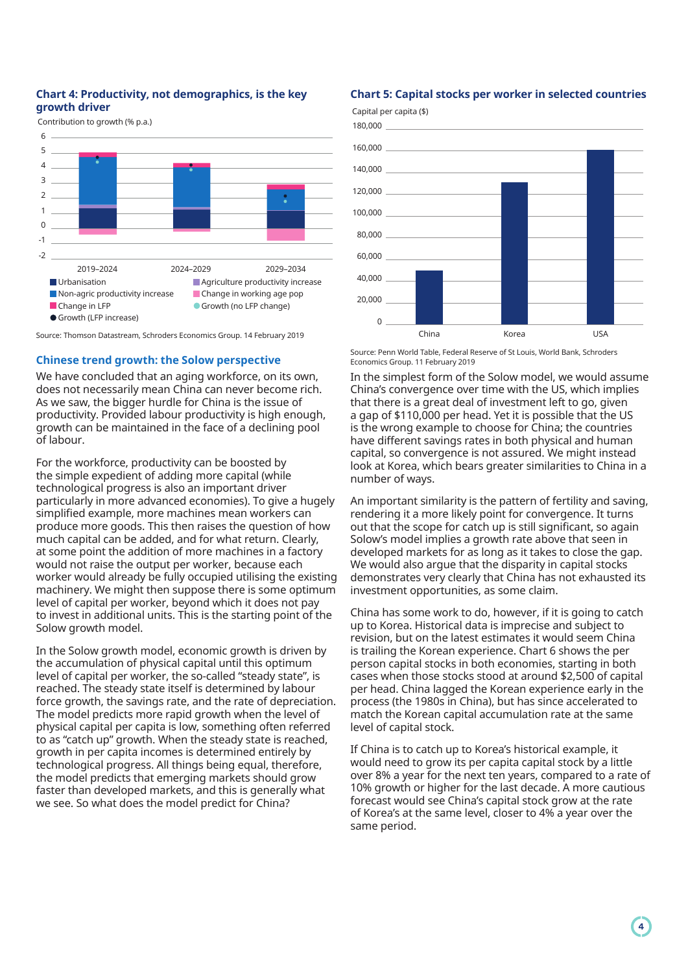# **Chart 4: Productivity, not demographics, is the key growth driver**

Contribution to growth (% p.a.)



Source: Thomson Datastream, Schroders Economics Group. 14 February 2019

#### **Chinese trend growth: the Solow perspective**

We have concluded that an aging workforce, on its own, does not necessarily mean China can never become rich. As we saw, the bigger hurdle for China is the issue of productivity. Provided labour productivity is high enough, growth can be maintained in the face of a declining pool of labour.

For the workforce, productivity can be boosted by the simple expedient of adding more capital (while technological progress is also an important driver particularly in more advanced economies). To give a hugely simplified example, more machines mean workers can produce more goods. This then raises the question of how much capital can be added, and for what return. Clearly, at some point the addition of more machines in a factory would not raise the output per worker, because each worker would already be fully occupied utilising the existing machinery. We might then suppose there is some optimum level of capital per worker, beyond which it does not pay to invest in additional units. This is the starting point of the Solow growth model.

In the Solow growth model, economic growth is driven by the accumulation of physical capital until this optimum level of capital per worker, the so-called "steady state", is reached. The steady state itself is determined by labour force growth, the savings rate, and the rate of depreciation. The model predicts more rapid growth when the level of physical capital per capita is low, something often referred to as "catch up" growth. When the steady state is reached, growth in per capita incomes is determined entirely by technological progress. All things being equal, therefore, the model predicts that emerging markets should grow faster than developed markets, and this is generally what we see. So what does the model predict for China?

#### **Chart 5: Capital stocks per worker in selected countries**



Source: Penn World Table, Federal Reserve of St Louis, World Bank, Schroders Economics Group. 11 February 2019

In the simplest form of the Solow model, we would assume China's convergence over time with the US, which implies that there is a great deal of investment left to go, given a gap of \$110,000 per head. Yet it is possible that the US is the wrong example to choose for China; the countries have different savings rates in both physical and human capital, so convergence is not assured. We might instead look at Korea, which bears greater similarities to China in a number of ways.

An important similarity is the pattern of fertility and saving, rendering it a more likely point for convergence. It turns out that the scope for catch up is still significant, so again Solow's model implies a growth rate above that seen in developed markets for as long as it takes to close the gap. We would also arque that the disparity in capital stocks demonstrates very clearly that China has not exhausted its investment opportunities, as some claim.

China has some work to do, however, if it is going to catch up to Korea. Historical data is imprecise and subject to revision, but on the latest estimates it would seem China is trailing the Korean experience. Chart 6 shows the per person capital stocks in both economies, starting in both cases when those stocks stood at around \$2,500 of capital per head. China lagged the Korean experience early in the process (the 1980s in China), but has since accelerated to match the Korean capital accumulation rate at the same level of capital stock.

If China is to catch up to Korea's historical example, it would need to grow its per capita capital stock by a little over 8% a year for the next ten years, compared to a rate of 10% growth or higher for the last decade. A more cautious forecast would see China's capital stock grow at the rate of Korea's at the same level, closer to 4% a year over the same period.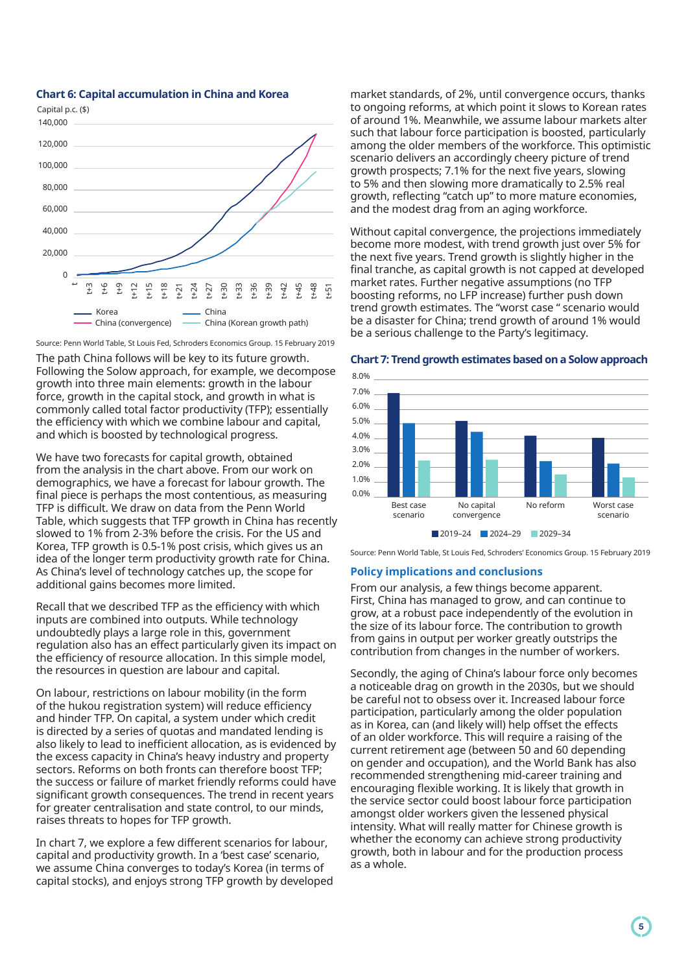

### **Chart 6: Capital accumulation in China and Korea**

Source: Penn World Table, St Louis Fed, Schroders Economics Group. 15 February 2019 The path China follows will be key to its future growth. Following the Solow approach, for example, we decompose growth into three main elements: growth in the labour force, growth in the capital stock, and growth in what is commonly called total factor productivity (TFP); essentially the efficiency with which we combine labour and capital, and which is boosted by technological progress.

We have two forecasts for capital growth, obtained from the analysis in the chart above. From our work on demographics, we have a forecast for labour growth. The final piece is perhaps the most contentious, as measuring TFP is difficult. We draw on data from the Penn World Table, which suggests that TFP growth in China has recently slowed to 1% from 2-3% before the crisis. For the US and Korea, TFP growth is 0.5-1% post crisis, which gives us an idea of the longer term productivity growth rate for China. As China's level of technology catches up, the scope for additional gains becomes more limited.

Recall that we described TFP as the efficiency with which inputs are combined into outputs. While technology undoubtedly plays a large role in this, government regulation also has an effect particularly given its impact on the efficiency of resource allocation. In this simple model, the resources in question are labour and capital.

On labour, restrictions on labour mobility (in the form of the hukou registration system) will reduce efficiency and hinder TFP. On capital, a system under which credit is directed by a series of quotas and mandated lending is also likely to lead to inefficient allocation, as is evidenced by the excess capacity in China's heavy industry and property sectors. Reforms on both fronts can therefore boost TFP; the success or failure of market friendly reforms could have significant growth consequences. The trend in recent years for greater centralisation and state control, to our minds, raises threats to hopes for TFP growth.

In chart 7, we explore a few different scenarios for labour, capital and productivity growth. In a 'best case' scenario, we assume China converges to today's Korea (in terms of capital stocks), and enjoys strong TFP growth by developed market standards, of 2%, until convergence occurs, thanks to ongoing reforms, at which point it slows to Korean rates of around 1%. Meanwhile, we assume labour markets alter such that labour force participation is boosted, particularly among the older members of the workforce. This optimistic scenario delivers an accordingly cheery picture of trend growth prospects; 7.1% for the next five years, slowing to 5% and then slowing more dramatically to 2.5% real growth, reflecting "catch up" to more mature economies, and the modest drag from an aging workforce.

Without capital convergence, the projections immediately become more modest, with trend growth just over 5% for the next five years. Trend growth is slightly higher in the final tranche, as capital growth is not capped at developed market rates. Further negative assumptions (no TFP boosting reforms, no LFP increase) further push down trend growth estimates. The "worst case " scenario would be a disaster for China; trend growth of around 1% would be a serious challenge to the Party's legitimacy.



## **Chart 7: Trend growth estimates based on a Solow approach**

Source: Penn World Table, St Louis Fed, Schroders' Economics Group. 15 February 2019

### **Policy implications and conclusions**

From our analysis, a few things become apparent. First, China has managed to grow, and can continue to grow, at a robust pace independently of the evolution in the size of its labour force. The contribution to growth from gains in output per worker greatly outstrips the contribution from changes in the number of workers.

Secondly, the aging of China's labour force only becomes a noticeable drag on growth in the 2030s, but we should be careful not to obsess over it. Increased labour force participation, particularly among the older population as in Korea, can (and likely will) help offset the effects of an older workforce. This will require a raising of the current retirement age (between 50 and 60 depending on gender and occupation), and the World Bank has also recommended strengthening mid-career training and encouraging flexible working. It is likely that growth in the service sector could boost labour force participation amongst older workers given the lessened physical intensity. What will really matter for Chinese growth is whether the economy can achieve strong productivity growth, both in labour and for the production process as a whole.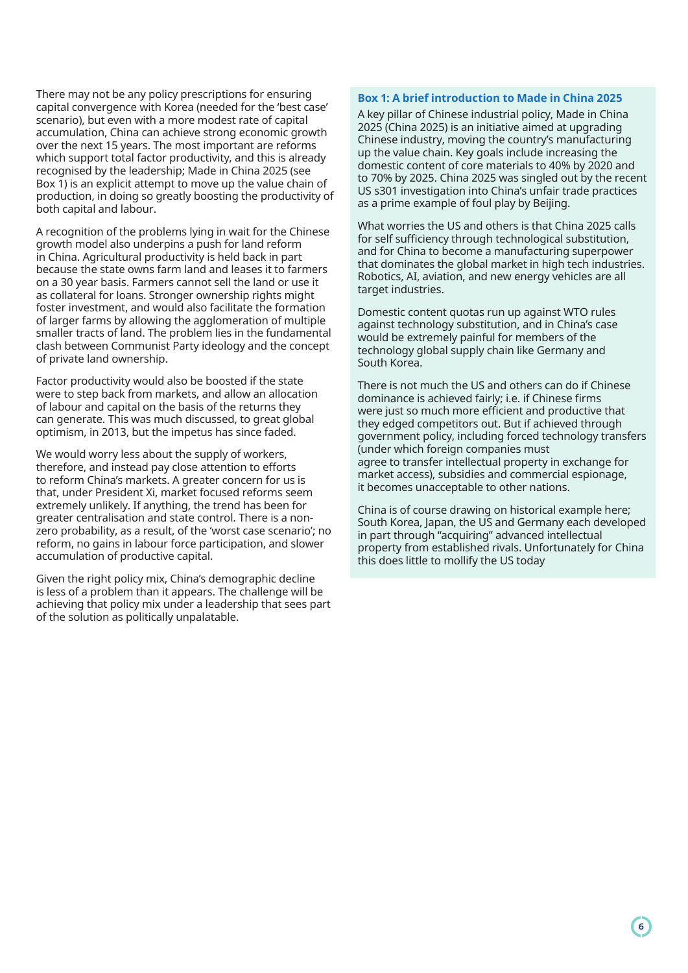There may not be any policy prescriptions for ensuring capital convergence with Korea (needed for the 'best case' scenario), but even with a more modest rate of capital accumulation, China can achieve strong economic growth over the next 15 years. The most important are reforms which support total factor productivity, and this is already recognised by the leadership; Made in China 2025 (see Box 1) is an explicit attempt to move up the value chain of production, in doing so greatly boosting the productivity of both capital and labour.

A recognition of the problems lying in wait for the Chinese growth model also underpins a push for land reform in China. Agricultural productivity is held back in part because the state owns farm land and leases it to farmers on a 30 year basis. Farmers cannot sell the land or use it as collateral for loans. Stronger ownership rights might foster investment, and would also facilitate the formation of larger farms by allowing the agglomeration of multiple smaller tracts of land. The problem lies in the fundamental clash between Communist Party ideology and the concept of private land ownership.

Factor productivity would also be boosted if the state were to step back from markets, and allow an allocation of labour and capital on the basis of the returns they can generate. This was much discussed, to great global optimism, in 2013, but the impetus has since faded.

We would worry less about the supply of workers, therefore, and instead pay close attention to efforts to reform China's markets. A greater concern for us is that, under President Xi, market focused reforms seem extremely unlikely. If anything, the trend has been for greater centralisation and state control. There is a nonzero probability, as a result, of the 'worst case scenario'; no reform, no gains in labour force participation, and slower accumulation of productive capital.

Given the right policy mix, China's demographic decline is less of a problem than it appears. The challenge will be achieving that policy mix under a leadership that sees part of the solution as politically unpalatable.

# **Box 1: A brief introduction to Made in China 2025**

A key pillar of Chinese industrial policy, Made in China 2025 (China 2025) is an initiative aimed at upgrading Chinese industry, moving the country's manufacturing up the value chain. Key goals include increasing the domestic content of core materials to 40% by 2020 and to 70% by 2025. China 2025 was singled out by the recent US s301 investigation into China's unfair trade practices as a prime example of foul play by Beijing.

What worries the US and others is that China 2025 calls for self sufficiency through technological substitution, and for China to become a manufacturing superpower that dominates the global market in high tech industries. Robotics, AI, aviation, and new energy vehicles are all target industries.

Domestic content quotas run up against WTO rules against technology substitution, and in China's case would be extremely painful for members of the technology global supply chain like Germany and South Korea.

There is not much the US and others can do if Chinese dominance is achieved fairly; i.e. if Chinese firms were just so much more efficient and productive that they edged competitors out. But if achieved through government policy, including forced technology transfers (under which foreign companies must agree to transfer intellectual property in exchange for market access), subsidies and commercial espionage, it becomes unacceptable to other nations.

China is of course drawing on historical example here; South Korea, Japan, the US and Germany each developed in part through "acquiring" advanced intellectual property from established rivals. Unfortunately for China this does little to mollify the US today